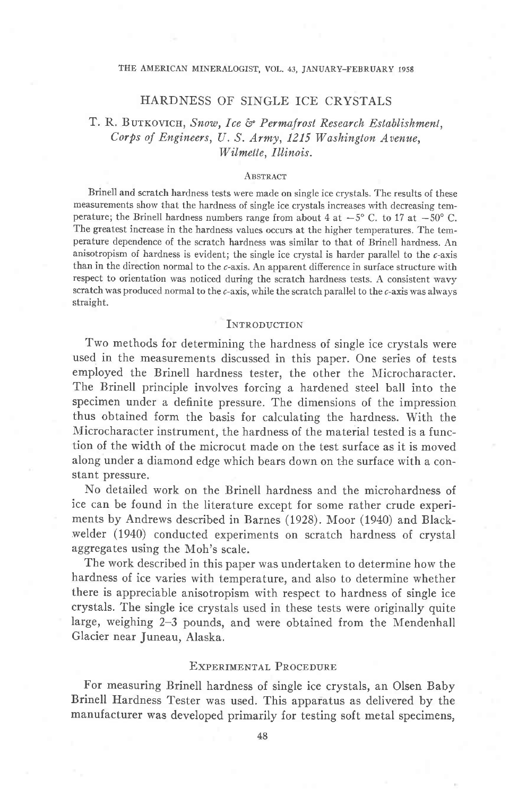### THE AMERICAN MINERALOGIST, VOL. 43, JANUARY\_FEBRUARY 1958

## HARDNESS OF SINGLE ICE CRYSTALS

# T. R. BUTKOVICH, Snow, Ice & Permafrost Research Establishment, Corps of Engineers, U.S. Army,  $1215$  Washington Avenue, Wilmette, Illinois.

#### **ABSTRACT**

Brinell and scratch hardness tests were made on single ice crystals. 'Ihe results of these measurements show that the hardness of single ice crystals increases with decreasing temperature; the Brinell hardness numbers range from about 4 at  $-5^{\circ}$  C. to 17 at  $-5^{\circ}$  C. The greatest increase in the hardness values occurs at the higher temperatures. The temperature dependence of the scratch hardness was similar to that of Brinell hardness. An anisotropism of hardness is evident; the single ice crystal is harder parallel to the  $c$ -axis than in the direction normal to the c-axis. An apparent difference in surface structure with respect to orientation was noticed during the scratch hardness tests. A consistent wavy scratch was produced normal to the c-axis, while the scratch parallel to the c-axis was always straight.

#### **INTRODUCTION**

Two methods for determining the hardness of single ice crystals were used in the measurements discussed in this paper. One series of tests employed the Brinell hardness tester, the other the Microcharacter. The Brinell principle involves forcing a hardened steel ball into the specimen under a definite pressure. The dimensions of the impression thus obtained form the basis for calculating the hardness. With the Microcharacter instrument, the hardness of the material tested is a function of the width of the microcut made on the test surface as it is moved along under a diamond edge which bears down on the surface with a constant pressure,

No detailed work on the Brinell hardness and the microhardness of ice can be found in the literature except for some rather crude experiments by Andrews described in Barnes (1928). Moor (1940) and Blackwelder (1940) conducted experiments on scratch hardness of crystal aggregates using the Moh's scale.

The work described in this paper was undertaken to determine how the hardness of ice varies with temperature, and also to determine whether there is appreciable anisotropism with respect to hardness of single ice crystals. The single ice crystals used in these tests were originally quite Iarge, weighing 2-3 pounds, and were obtained from the Mendenhall Glacier near Juneau, Alaska.

## EXPERIMENTAL PROCEDURE

For measuring Brinell hardness of single ice crystals, an Olsen Baby Brinell Hardness Tester was used. This apparatus as delivered by the manufacturer was developed primarily for testing soft metal specimens,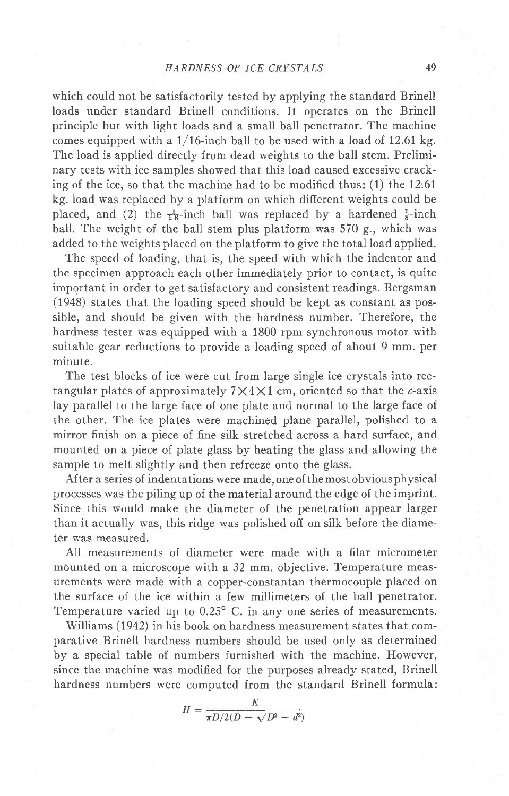which could not be satisfactorily tested by applying the standard Brinell loads under standard Brinell conditions. It operates on the Brinell principle but with light loads and a small ball penetrator. The machine comes equipped with a  $1/16$ -inch ball to be used with a load of 12.61 kg. The load is applied directly from dead weights to the ball stem. Preliminary tests with ice samples showed that this load caused excessive cracking of the ice, so that the machine had to be modified thus:  $(1)$  the 12:61 kg. Ioad was replaced by a platform on which difierent weights could be placed, and (2) the  $\frac{1}{16}$ -inch ball was replaced by a hardened  $\frac{1}{8}$ -inch ball. The weight of the ball stem plus platform was 570 g., which was added to the weights placed on the platform to give the total load applied.

The speed of loading, that is, the speed with which the indentor and the specimen approach each other immediately prior to contact, is quite important in order to get satisfactory and consistent readings. Bergsman (1948) states that the loading speed should be kept as constant as possible, and should be given with the hardness number. Therefore, the hardness tester was equipped with a 1800 rpm synchronous motor with suitable gear reductions to provide a loading speed of about 9 mm. per minute.

The test blocks of ice were cut from large single ice crystals into rectangular plates of approximately  $7 \times 4 \times 1$  cm, oriented so that the c-axis lay parallel to the large face of one plate and normal to the large face of the other. The ice plates were machined plane parallel, polished to a mirror finish on a piece of fine silk stretched across a hard surface, and mounted on a piece of plate glass by heating the glass and allowing the sample to melt slightly and then refreeze onto the glass.

After a series of indentations were made,oneof themostobviousphysical processes was the piling up of the material around the edge of the imprint. Since this would make the diameter of the penetration appear larger than it actually was, this ridge was polished off on silk before the diameter was measured.

All measurements of diameter were made with a filar micrometer mounted on a microscope with a 32 mm. objective. Temperature measurements were made with a copper-constantan thermocouple placed on the surface of the ice within a few millimeters of the ball penetrator. Temperature varied up to 0.25" C. in any one series of measurements.

Williams (1942) in his book on hardness measurement states that comparative Brinell hardness numbers should be used only as determined by a special table of numbers furnished with the machine. However, since the machine was modified for the purposes already stated, Brinell hardness numbers were computed from the standard Brinell formula:

$$
H = \frac{K}{\pi D/2(D - \sqrt{D^2 - d^2})}
$$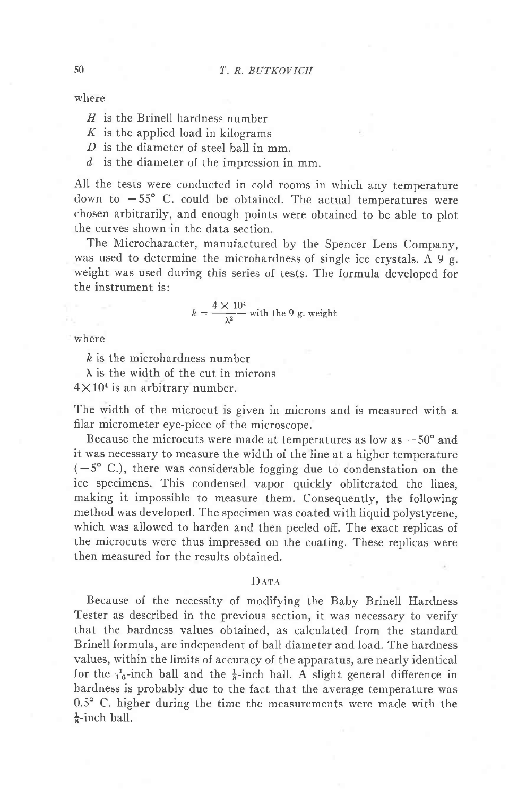where

- $H$  is the Brinell hardness number
- $K$  is the applied load in kilograms
- $D$  is the diameter of steel ball in mm.
- $d$  is the diameter of the impression in mm.

All the tests were conducted in cold rooms in which any temperature down to  $-55^{\circ}$  C. could be obtained. The actual temperatures were chosen arbitrarily, and enough points were obtained to be able to plot the curves shown in the data section.

The Microcharacter, manufactured by the Spencer Lens Company, was used to determine the microhardness of single ice crystals. A 9 g. weight was used during this series of tests. The formula developed for the instrument is:

$$
k = \frac{4 \times 10^4}{\lambda^2}
$$
 with the 9 g. weight

where

& is the microhardness number

 $\lambda$  is the width of the cut in microns

 $4 \times 10<sup>4</sup>$  is an arbitrary number.

The width of the microcut is given in microns and is measured with a filar micrometer eye-piece of the microscope.

Because the microcuts were made at temperatures as low as  $-50^{\circ}$  and it was necessary to measure the width of the line at a higher temperature  $(-5^{\circ}$  C.), there was considerable fogging due to condenstation on the ice specimens. This condensed vapor quickly obliterated the lines, making it impossible to measure them. Consequently, the following method was developed. The specimen was coated with liquid polystyrene, which was allowed to harden and then peeled off. The exact replicas of the microcuts were thus impressed on the coating. These replicas were then measured for the results obtained.

## $D<sub>ATA</sub>$

Because of the necessity of modifying the Baby Brinell Hardness Tester as described in the previous section, it was necessary to verify that the hardness values obtained, as calculated from the standard Brinell formula, are independent of ball diameter and load. The hardness values, within the limits of accuracy of the apparatus, are nearly identical for the  $\frac{1}{16}$ -inch ball and the  $\frac{1}{8}$ -inch ball. A slight general difference in hardness is probably due to the fact that the average temperature was 0.5' C. higher during the time the measurements were made with the  $\frac{1}{8}$ -inch ball.

5U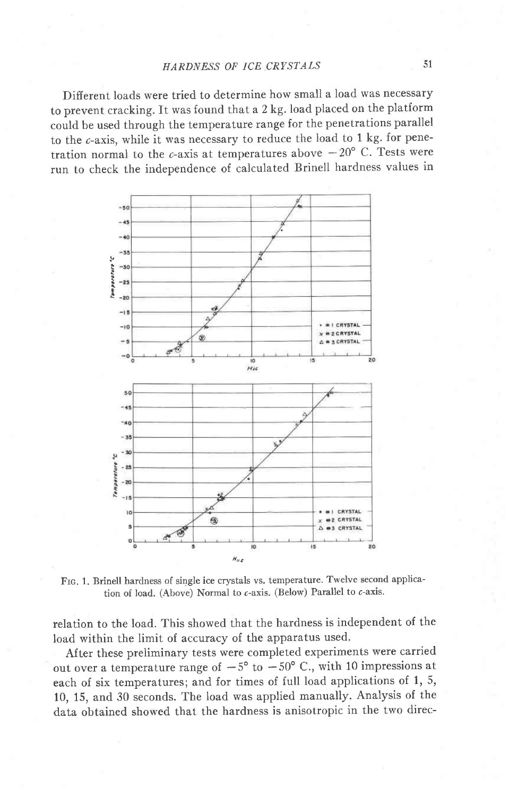Different loads were tried to determine how small a load was necessary to prevent cracking. It was found that a 2 kg. load placed on the platform could be used through the temperature range for the penetrations parallel to the c-axis, while it was necessary to reduce the load to 1 kg. for penetration normal to the c-axis at temperatures above  $-20^{\circ}$  C. Tests were run to check the independence of calculated Brinell hardness values in



FIG. 1. Brinell hardness of single ice crystals vs. temperature. Twelve second application of load. (Above) Normal to  $c$ -axis. (Below) Parallel to  $c$ -axis.

relation to the load. This showed that the hardness is independent of the Ioad within the limit of accuracy of the apparatus used.

After these preliminary tests were completed experiments were carried out over a temperature range of  $-5^{\circ}$  to  $-50^{\circ}$  C., with 10 impressions at each of six temperatures; and for times of full load applications of 1, 5, 10, 15, and 30 seconds. The load was applied manually. Analysis of the data obtained showed that the hardness is anisotropic in the two direc-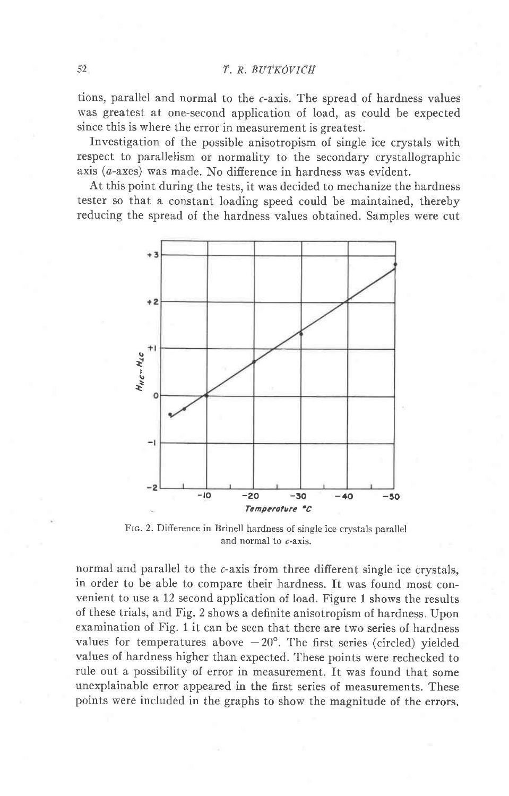tions, parallel and normal to the  $c$ -axis. The spread of hardness values was greatest at one-second application of load, as could be expected since this is where the error in measurement is greatest.

Investigation of the possible anisotropism of single ice crystals with respect to parallelism or normality to the secondary crystallographic axis  $(a$ -axes) was made. No difference in hardness was evident.

At this point during the tests, it was decided to mechanize the hardness tester so that a constant loading speed could be maintained, thereby reducing the spread of the hardness values obtained. Samples were cut



Frc. 2. Difference in Brinell hardness of single ice crystals parallel and normal to c-axis.

normal and parallel to the c-axis from three different single ice crystals. in order to be able to compare their hardness. It was found most convenient to use a 12 second application of load. Figure 1 shows the results of these trials, and Fig. 2 shows a definite anisotropism of hardness Upon examination of Fig. 1 it can be seen that there are two series of hardness values for temperatures above  $-20^{\circ}$ . The first series (circled) yielded values of hardness higher than expected. These points were rechecked to rule out a possibility of error in measurement. It was found that some unexplainable error appeared in the first series of measurements. These points were included in the graphs to show the magnitude of the errors.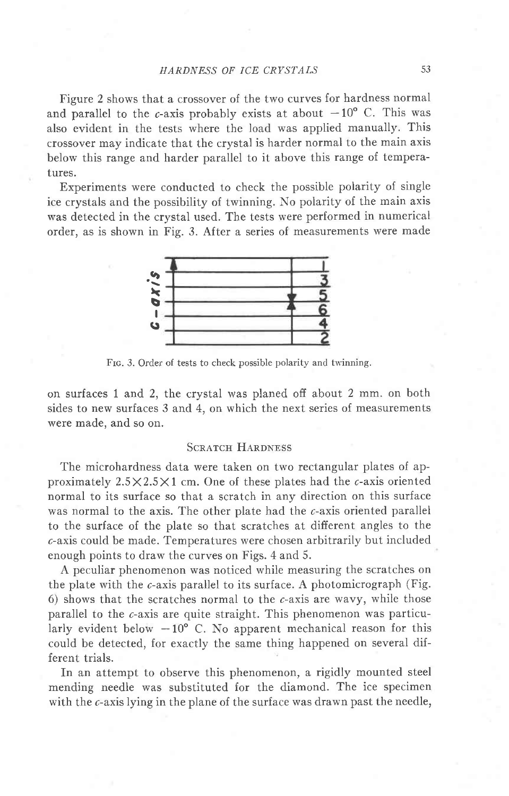## HARDNESS OF ICE CRYSTALS 53

Figure 2 shows that a crossover of the two curves for hardness normal and parallel to the c-axis probably exists at about  $-10^{\circ}$  C. This was also evident in the tests where the load was applied manually. This crossover may indicate that the crystal is harder normal to the main axis below this range and harder parallel to it above this range of temperatures.

Experiments were conducted to check the possible polarity of single ice crystals and the possibility of twinning. No polarity of the main axis was detected in the crystal used. The tests were performed in numerical order, as is shown in Fig. 3. After a series of measurements were made



Frc. 3. Order of tests to check possible polarity and twinning.

on surfaces I and 2, the crystal was planed off about 2 mm. on both sides to new surfaces 3 and 4, on which the next series of measurements were made, and so on.

### **SCRATCH HARDNESS**

The microhardness data were taken on two rectangular plates of approximately  $2.5 \times 2.5 \times 1$  cm. One of these plates had the  $\epsilon$ -axis oriented normal to its surface so that a scratch in any direction on this surface was normal to the axis. The other plate had the c-axis oriented parallel to the surface of the plate so that scratches at different angles to the c-axis could be made. Temperatures were chosen arbitrarily but included enough points to draw the curves on Figs. 4 and 5.

A peculiar phenomenon was noticed while measuring the scratches on the plate with the  $c$ -axis parallel to its surface. A photomicrograph (Fig. 6) shows that the scratches normal to the  $c$ -axis are wavy, while those parallel to the c-axis are quite straight. This phenomenon was particularly evident below  $-10^{\circ}$  C. No apparent mechanical reason for this could be detected, for exactly the same thing happened on several different trials.

In an attempt to observe this phenomenon, a rigidly mounted steel mending needle was substituted for the diamond. The ice specimen with the c-axis lying in the plane of the surface was drawn past the needle,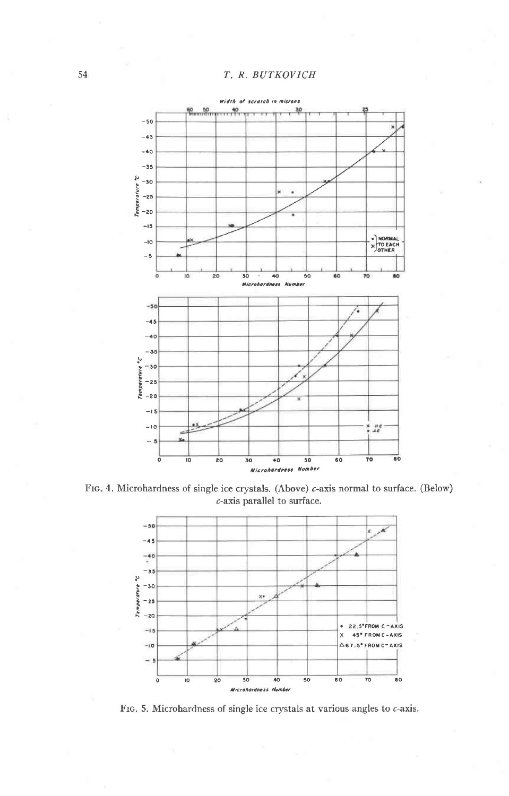## T. R. BUTKOVICH



FIG. 4. Microhardness of single ice crystals. (Above) c-axis normal to surface. (Below)  $c$ -axis parallel to surface.



FIG. 5. Microhardness of single ice crystals at various angles to  $c$ -axis.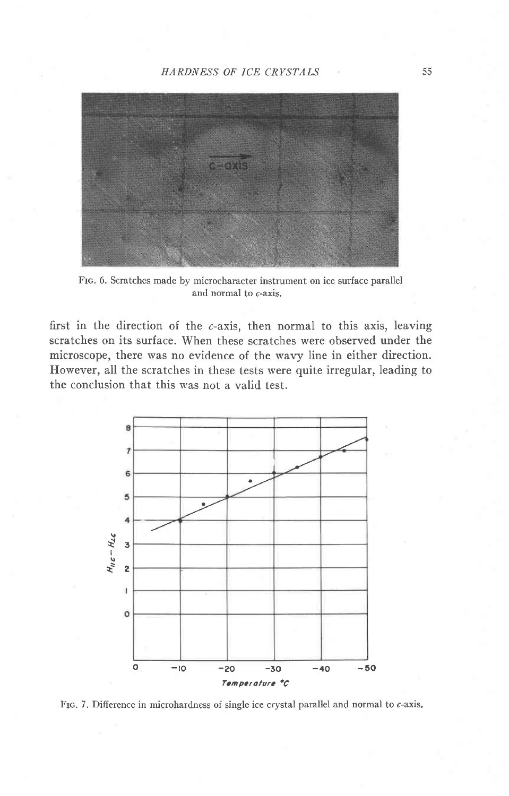

Fro. 6. Scratches made by microcharacter instrument on ice surface parallel and normal to c-axis,

first in the direction of the c-axis, then normal to this axis, leaving scratches on its surface. When these scratches were observed under the microscope, there was no evidence of the wavy line in either direction. However, all the scratches in these tests were quite irregular, leading to the conclusion that this was not a valid test.



FIG. 7. Difference in microhardness of single ice crystal parallel and normal to c-axis.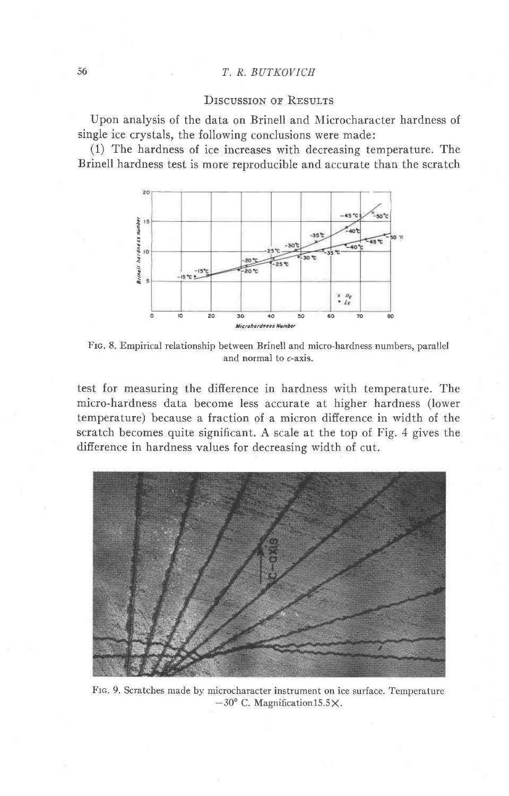## T. R. BUTKOVICH

## **DISCUSSION OF RESULTS**

Upon analysis of the data on Brinell and Microcharacter hardness of single ice crystals, the following conclusions were made:

(1) The hardness of ice increases with decreasing temperature. The Brinell hardness test is more reproducible and accurate than the scratch



FIG. 8. Empirical relationship between Brinell and micro-hardness numbers, parallel and normal to c-axis.

test for measuring the difference in hardness with temperature. The micro-hardness data become less accurate at higher hardness (lower temperature) because a fraction of a micron difference in width of the scratch becomes quite significant. A scale at the top of Fig. 4 gives the difference in hardness values for decreasing width of cut.



FIG. 9. Scratches made by microcharacter instrument on ice surface. Temperature  $-30^{\circ}$  C. Magnification 15.5 X.